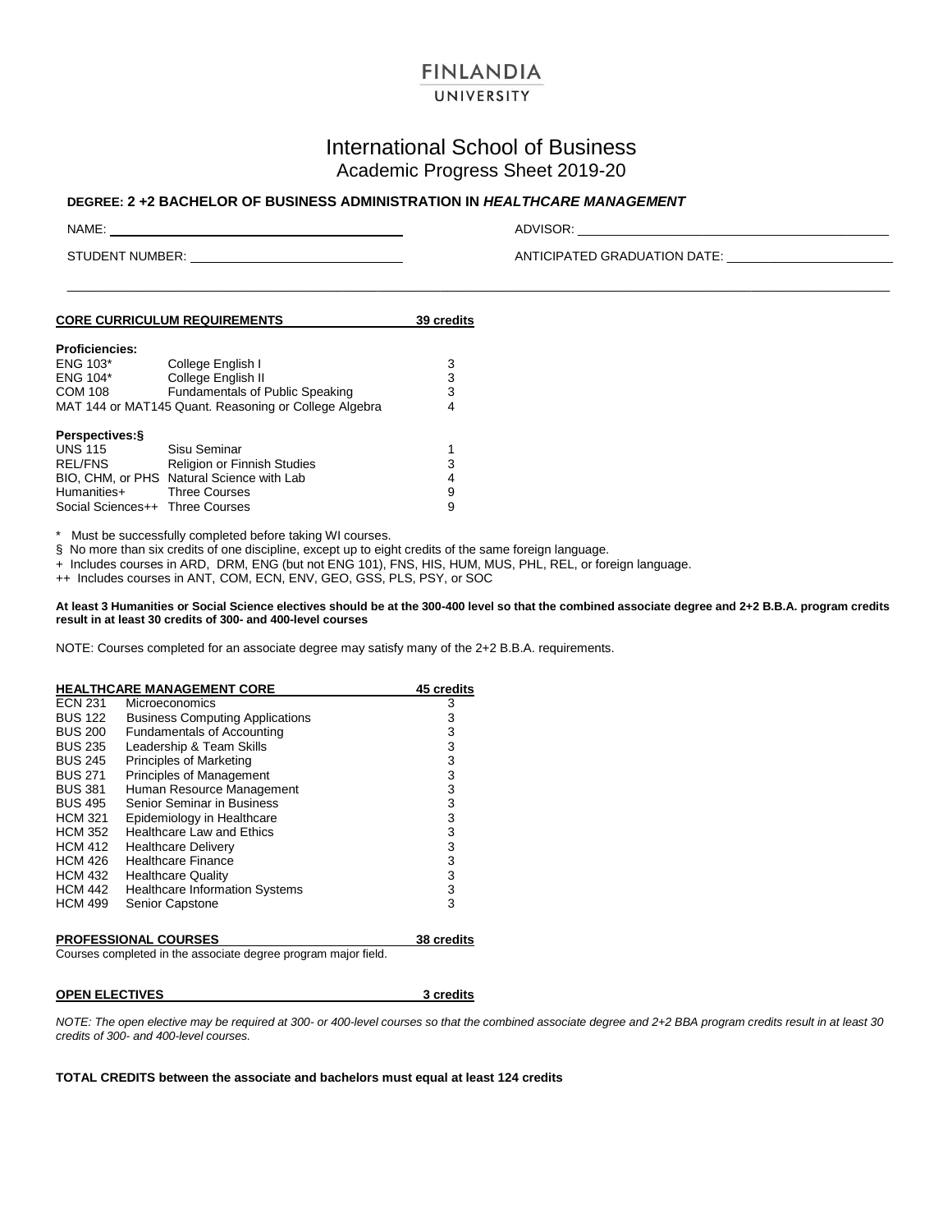# **FINLANDIA**

# UNIVERSITY

## International School of Business Academic Progress Sheet 2019-20

\_\_\_\_\_\_\_\_\_\_\_\_\_\_\_\_\_\_\_\_\_\_\_\_\_\_\_\_\_\_\_\_\_\_\_\_\_\_\_\_\_\_\_\_\_\_\_\_\_\_\_\_\_\_\_\_\_\_\_\_\_\_\_\_\_\_\_\_\_\_\_\_\_\_\_\_\_\_\_\_\_\_\_\_\_\_\_\_\_\_\_\_\_\_\_\_\_\_\_\_\_\_\_\_\_\_\_\_\_\_\_\_\_\_\_\_\_\_\_

### **DEGREE: 2 +2 BACHELOR OF BUSINESS ADMINISTRATION IN** *HEALTHCARE MANAGEMENT*

NAME: ADVISOR: \_\_\_\_\_\_\_\_\_\_\_\_\_\_\_\_\_\_\_\_\_\_\_\_\_\_\_\_\_\_\_\_\_\_\_\_\_\_\_\_\_\_\_\_\_

STUDENT NUMBER: ANTICIPATED GRADUATION DATE: \_\_\_\_\_\_\_\_\_\_\_\_\_\_\_\_\_\_\_\_\_\_\_\_

| <b>CORE CURRICULUM REQUIREMENTS</b> | 39 credits |
|-------------------------------------|------------|
| Droficionaios:                      |            |

| <b>Proficiencies:</b>           |                                                       |   |
|---------------------------------|-------------------------------------------------------|---|
| <b>ENG 103*</b>                 | College English I                                     | 3 |
| ENG 104*                        | College English II                                    | 3 |
| <b>COM 108</b>                  | <b>Fundamentals of Public Speaking</b>                | 3 |
|                                 | MAT 144 or MAT145 Quant. Reasoning or College Algebra | 4 |
|                                 |                                                       |   |
| Perspectives: §                 |                                                       |   |
| <b>UNS 115</b>                  | Sisu Seminar                                          |   |
| <b>REL/FNS</b>                  | Religion or Finnish Studies                           | 3 |
|                                 | BIO, CHM, or PHS Natural Science with Lab             | 4 |
| Humanities+                     | <b>Three Courses</b>                                  | 9 |
| Social Sciences++ Three Courses |                                                       | 9 |
|                                 |                                                       |   |

Must be successfully completed before taking WI courses.

§ No more than six credits of one discipline, except up to eight credits of the same foreign language.

+ Includes courses in ARD, DRM, ENG (but not ENG 101), FNS, HIS, HUM, MUS, PHL, REL, or foreign language.

++ Includes courses in ANT, COM, ECN, ENV, GEO, GSS, PLS, PSY, or SOC

**At least 3 Humanities or Social Science electives should be at the 300-400 level so that the combined associate degree and 2+2 B.B.A. program credits result in at least 30 credits of 300- and 400-level courses**

NOTE: Courses completed for an associate degree may satisfy many of the 2+2 B.B.A. requirements.

|                | <b>HEALTHCARE MANAGEMENT CORE</b>      | 45 credits |
|----------------|----------------------------------------|------------|
| <b>ECN 231</b> | <b>Microeconomics</b>                  | 3          |
| <b>BUS 122</b> | <b>Business Computing Applications</b> | 3          |
| <b>BUS 200</b> | <b>Fundamentals of Accounting</b>      | 3          |
| <b>BUS 235</b> | Leadership & Team Skills               | 3          |
| <b>BUS 245</b> | Principles of Marketing                | 3          |
| <b>BUS 271</b> | Principles of Management               | 3          |
| <b>BUS 381</b> | Human Resource Management              | 3          |
| <b>BUS 495</b> | Senior Seminar in Business             | 3          |
| <b>HCM 321</b> | Epidemiology in Healthcare             | 3          |
| <b>HCM 352</b> | Healthcare Law and Ethics              | 3          |
| <b>HCM 412</b> | <b>Healthcare Delivery</b>             | 3          |
| <b>HCM 426</b> | <b>Healthcare Finance</b>              | 3          |
| <b>HCM 432</b> | <b>Healthcare Quality</b>              | 3          |
| <b>HCM 442</b> | <b>Healthcare Information Systems</b>  | 3          |
| <b>HCM 499</b> | Senior Capstone                        | 3          |
|                |                                        |            |

#### **PROFESSIONAL COURSES 38 credits**

Courses completed in the associate degree program major field.

**OPEN ELECTIVES** 3 credits

*NOTE: The open elective may be required at 300- or 400-level courses so that the combined associate degree and 2+2 BBA program credits result in at least 30 credits of 300- and 400-level courses.*

**TOTAL CREDITS between the associate and bachelors must equal at least 124 credits**